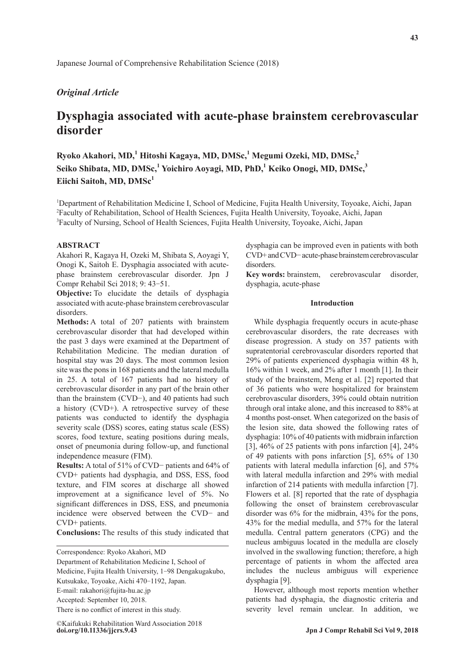# *Original Article*

# **Dysphagia associated with acute-phase brainstem cerebrovascular disorder**

 $R$ yoko Akahori, MD,<sup>1</sup> Hitoshi Kagaya, MD, DMSc,<sup>1</sup> Megumi Ozeki, MD, DMSc,<sup>2</sup> **Seiko Shibata, MD, DMSc,<sup>1</sup> Yoichiro Aoyagi, MD, PhD,<sup>1</sup> Keiko Onogi, MD, DMSc,3** Eiichi Saitoh, MD, DMSc<sup>1</sup>

<sup>1</sup>Department of Rehabilitation Medicine I, School of Medicine, Fujita Health University, Toyoake, Aichi, Japan 2 Faculty of Rehabilitation, School of Health Sciences, Fujita Health University, Toyoake, Aichi, Japan 3 Faculty of Nursing, School of Health Sciences, Fujita Health University, Toyoake, Aichi, Japan

## **ABSTRACT**

Akahori R, Kagaya H, Ozeki M, Shibata S, Aoyagi Y, Onogi K, Saitoh E. Dysphagia associated with acutephase brainstem cerebrovascular disorder. Jpn J Compr Rehabil Sci 2018; 9: 43-51.

**Objective:** To elucidate the details of dysphagia associated with acute-phase brainstem cerebrovascular disorders.

**Methods:** A total of 207 patients with brainstem cerebrovascular disorder that had developed within the past 3 days were examined at the Department of Rehabilitation Medicine. The median duration of hospital stay was 20 days. The most common lesion site was the pons in 168 patients and the lateral medulla in 25. A total of 167 patients had no history of cerebrovascular disorder in any part of the brain other than the brainstem (CVD−), and 40 patients had such a history (CVD+). A retrospective survey of these patients was conducted to identify the dysphagia severity scale (DSS) scores, eating status scale (ESS) scores, food texture, seating positions during meals, onset of pneumonia during follow-up, and functional independence measure (FIM).

**Results:** A total of 51% of CVD− patients and 64% of CVD+ patients had dysphagia, and DSS, ESS, food texture, and FIM scores at discharge all showed improvement at a significance level of 5%. No significant differences in DSS, ESS, and pneumonia incidence were observed between the CVD− and CVD+ patients.

**Conclusions:** The results of this study indicated that

Correspondence: Ryoko Akahori, MD Department of Rehabilitation Medicine I, School of Medicine, Fujita Health University, 1-98 Dengakugakubo, Kutsukake, Toyoake, Aichi 470-1192, Japan. E-mail: rakahori@fujita-hu.ac.jp Accepted: September 10, 2018. There is no conflict of interest in this study.

**doi.org/10.11336/jjcrs.9.43** ©Kaifukuki Rehabilitation Ward Association 2018 dysphagia can be improved even in patients with both CVD+ and CVD− acute-phase brainstem cerebrovascular disorders.

**Key words:** brainstem, cerebrovascular disorder, dysphagia, acute-phase

# **Introduction**

While dysphagia frequently occurs in acute-phase cerebrovascular disorders, the rate decreases with disease progression. A study on 357 patients with supratentorial cerebrovascular disorders reported that 29% of patients experienced dysphagia within 48 h, 16% within 1 week, and 2% after 1 month [1]. In their study of the brainstem, Meng et al. [2] reported that of 36 patients who were hospitalized for brainstem cerebrovascular disorders, 39% could obtain nutrition through oral intake alone, and this increased to 88% at 4 months post-onset. When categorized on the basis of the lesion site, data showed the following rates of dysphagia: 10% of 40 patients with midbrain infarction [3], 46% of 25 patients with pons infarction [4], 24% of 49 patients with pons infarction [5], 65% of 130 patients with lateral medulla infarction [6], and 57% with lateral medulla infarction and 29% with medial infarction of 214 patients with medulla infarction [7]. Flowers et al. [8] reported that the rate of dysphagia following the onset of brainstem cerebrovascular disorder was 6% for the midbrain, 43% for the pons, 43% for the medial medulla, and 57% for the lateral medulla. Central pattern generators (CPG) and the nucleus ambiguus located in the medulla are closely involved in the swallowing function; therefore, a high percentage of patients in whom the affected area includes the nucleus ambiguus will experience dysphagia [9].

However, although most reports mention whether patients had dysphagia, the diagnostic criteria and severity level remain unclear. In addition, we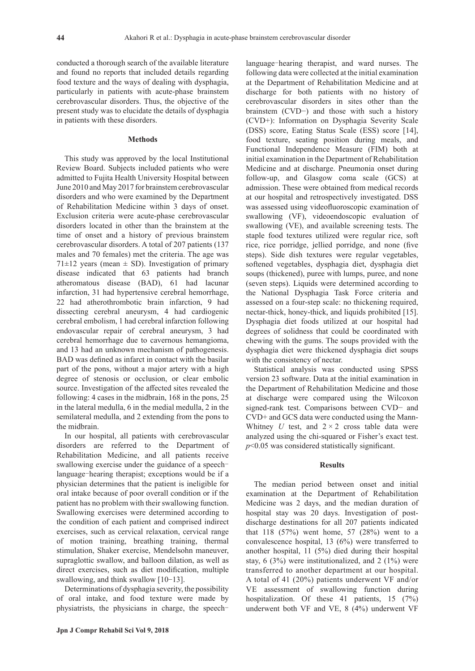conducted a thorough search of the available literature and found no reports that included details regarding food texture and the ways of dealing with dysphagia, particularly in patients with acute-phase brainstem cerebrovascular disorders. Thus, the objective of the present study was to elucidate the details of dysphagia in patients with these disorders.

#### **Methods**

This study was approved by the local Institutional Review Board. Subjects included patients who were admitted to Fujita Health University Hospital between June 2010 and May 2017 for brainstem cerebrovascular disorders and who were examined by the Department of Rehabilitation Medicine within 3 days of onset. Exclusion criteria were acute-phase cerebrovascular disorders located in other than the brainstem at the time of onset and a history of previous brainstem cerebrovascular disorders. A total of 207 patients (137 males and 70 females) met the criteria. The age was  $71\pm12$  years (mean  $\pm$  SD). Investigation of primary disease indicated that 63 patients had branch atheromatous disease (BAD), 61 had lacunar infarction, 31 had hypertensive cerebral hemorrhage, 22 had atherothrombotic brain infarction, 9 had dissecting cerebral aneurysm, 4 had cardiogenic cerebral embolism, 1 had cerebral infarction following endovascular repair of cerebral aneurysm, 3 had cerebral hemorrhage due to cavernous hemangioma, and 13 had an unknown mechanism of pathogenesis. BAD was defined as infarct in contact with the basilar part of the pons, without a major artery with a high degree of stenosis or occlusion, or clear embolic source. Investigation of the affected sites revealed the following: 4 cases in the midbrain, 168 in the pons, 25 in the lateral medulla, 6 in the medial medulla, 2 in the semilateral medulla, and 2 extending from the pons to the midbrain.

In our hospital, all patients with cerebrovascular disorders are referred to the Department of Rehabilitation Medicine, and all patients receive swallowing exercise under the guidance of a speechlanguage―hearing therapist; exceptions would be if a physician determines that the patient is ineligible for oral intake because of poor overall condition or if the patient has no problem with their swallowing function. Swallowing exercises were determined according to the condition of each patient and comprised indirect exercises, such as cervical relaxation, cervical range of motion training, breathing training, thermal stimulation, Shaker exercise, Mendelsohn maneuver, supraglottic swallow, and balloon dilation, as well as direct exercises, such as diet modification, multiple swallowing, and think swallow [10-13].

Determinations of dysphagia severity, the possibility of oral intake, and food texture were made by physiatrists, the physicians in charge, the speech―

language―hearing therapist, and ward nurses. The following data were collected at the initial examination at the Department of Rehabilitation Medicine and at discharge for both patients with no history of cerebrovascular disorders in sites other than the brainstem (CVD−) and those with such a history (CVD+): Information on Dysphagia Severity Scale (DSS) score, Eating Status Scale (ESS) score [14], food texture, seating position during meals, and Functional Independence Measure (FIM) both at initial examination in the Department of Rehabilitation Medicine and at discharge. Pneumonia onset during follow-up, and Glasgow coma scale (GCS) at admission. These were obtained from medical records at our hospital and retrospectively investigated. DSS was assessed using videofluoroscopic examination of swallowing (VF), videoendoscopic evaluation of swallowing (VE), and available screening tests. The staple food textures utilized were regular rice, soft rice, rice porridge, jellied porridge, and none (five steps). Side dish textures were regular vegetables, softened vegetables, dysphagia diet, dysphagia diet soups (thickened), puree with lumps, puree, and none (seven steps). Liquids were determined according to the National Dysphagia Task Force criteria and assessed on a four-step scale: no thickening required, nectar-thick, honey-thick, and liquids prohibited [15]. Dysphagia diet foods utilized at our hospital had degrees of solidness that could be coordinated with chewing with the gums. The soups provided with the dysphagia diet were thickened dysphagia diet soups with the consistency of nectar.

Statistical analysis was conducted using SPSS version 23 software. Data at the initial examination in the Department of Rehabilitation Medicine and those at discharge were compared using the Wilcoxon signed-rank test. Comparisons between CVD− and CVD+ and GCS data were conducted using the Mann-Whitney *U* test, and  $2 \times 2$  cross table data were analyzed using the chi-squared or Fisher's exact test. *p*<0.05 was considered statistically significant.

# **Results**

The median period between onset and initial examination at the Department of Rehabilitation Medicine was 2 days, and the median duration of hospital stay was 20 days. Investigation of postdischarge destinations for all 207 patients indicated that 118 (57%) went home, 57 (28%) went to a convalescence hospital, 13 (6%) were transferred to another hospital, 11 (5%) died during their hospital stay, 6 (3%) were institutionalized, and 2 (1%) were transferred to another department at our hospital. A total of 41 (20%) patients underwent VF and/or VE assessment of swallowing function during hospitalization. Of these 41 patients, 15 (7%) underwent both VF and VE, 8 (4%) underwent VF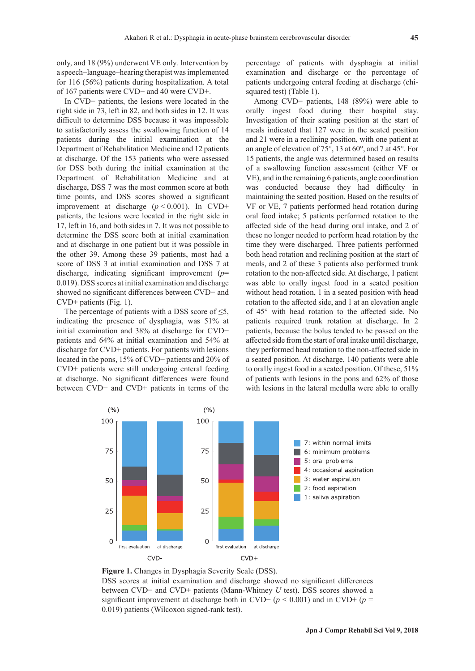only, and 18 (9%) underwent VE only. Intervention by a speech–language–hearing therapist was implemented for 116 (56%) patients during hospitalization. A total of 167 patients were CVD− and 40 were CVD+.

In CVD− patients, the lesions were located in the right side in 73, left in 82, and both sides in 12. It was difficult to determine DSS because it was impossible to satisfactorily assess the swallowing function of 14 patients during the initial examination at the Department of Rehabilitation Medicine and 12 patients at discharge. Of the 153 patients who were assessed for DSS both during the initial examination at the Department of Rehabilitation Medicine and at discharge, DSS 7 was the most common score at both time points, and DSS scores showed a significant improvement at discharge  $(p < 0.001)$ . In CVD+ patients, the lesions were located in the right side in 17, left in 16, and both sides in 7. It was not possible to determine the DSS score both at initial examination and at discharge in one patient but it was possible in the other 39. Among these 39 patients, most had a score of DSS 3 at initial examination and DSS 7 at discharge, indicating significant improvement (*p*= 0.019). DSS scores at initial examination and discharge showed no significant differences between CVD− and CVD+ patients (Fig. 1).

The percentage of patients with a DSS score of  $\leq$ 5, indicating the presence of dysphagia, was 51% at initial examination and 38% at discharge for CVD− patients and 64% at initial examination and 54% at discharge for CVD+ patients. For patients with lesions located in the pons, 15% of CVD− patients and 20% of CVD+ patients were still undergoing enteral feeding at discharge. No significant differences were found between CVD− and CVD+ patients in terms of the percentage of patients with dysphagia at initial examination and discharge or the percentage of patients undergoing enteral feeding at discharge (chisquared test) (Table 1).

Among CVD− patients, 148 (89%) were able to orally ingest food during their hospital stay. Investigation of their seating position at the start of meals indicated that 127 were in the seated position and 21 were in a reclining position, with one patient at an angle of elevation of 75°, 13 at 60°, and 7 at 45°. For 15 patients, the angle was determined based on results of a swallowing function assessment (either VF or VE), and in the remaining 6 patients, angle coordination was conducted because they had difficulty in maintaining the seated position. Based on the results of VF or VE, 7 patients performed head rotation during oral food intake; 5 patients performed rotation to the affected side of the head during oral intake, and 2 of these no longer needed to perform head rotation by the time they were discharged. Three patients performed both head rotation and reclining position at the start of meals, and 2 of these 3 patients also performed trunk rotation to the non-affected side. At discharge, 1 patient was able to orally ingest food in a seated position without head rotation, 1 in a seated position with head rotation to the affected side, and 1 at an elevation angle of 45° with head rotation to the affected side. No patients required trunk rotation at discharge. In 2 patients, because the bolus tended to be passed on the affected side from the start of oral intake until discharge, they performed head rotation to the non-affected side in a seated position. At discharge, 140 patients were able to orally ingest food in a seated position. Of these, 51% of patients with lesions in the pons and 62% of those with lesions in the lateral medulla were able to orally



**Figure 1.** Changes in Dysphagia Severity Scale (DSS). DSS scores at initial examination and discharge showed no significant differences between CVD− and CVD+ patients (Mann-Whitney *U* test). DSS scores showed a significant improvement at discharge both in CVD− (*p* < 0.001) and in CVD+ (*p* = 0.019) patients (Wilcoxon signed-rank test).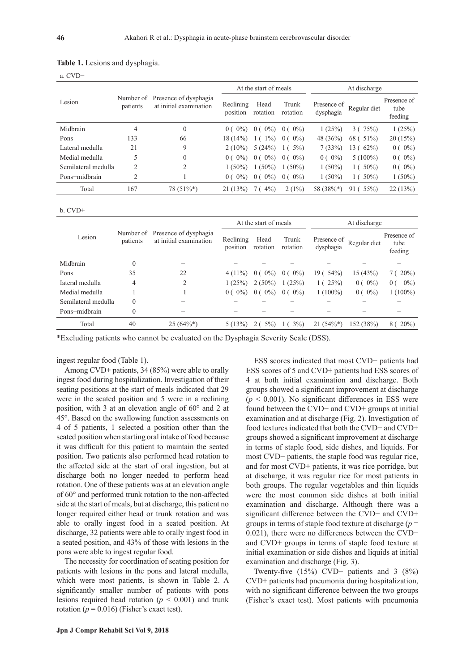|                     |                       |                                                 |                         | At the start of meals |                    | At discharge             |                |                                |
|---------------------|-----------------------|-------------------------------------------------|-------------------------|-----------------------|--------------------|--------------------------|----------------|--------------------------------|
| Lesion              | Number of<br>patients | Presence of dysphagia<br>at initial examination | Reclining<br>position   | Head<br>rotation      | Trunk<br>rotation  | Presence of<br>dysphagia | Regular diet   | Presence of<br>tube<br>feeding |
| Midbrain            | 4                     | $\theta$                                        | $0(0\%)$                | $0(0\%)$              | $0(0\%)$           | 1(25%)                   | 3(75%)         | 1(25%)                         |
| Pons                | 133                   | 66                                              | $18(14\%)$              | $1\%$ )<br>$\perp$ (  | $0(0\%)$           | 48 (36%)                 | 68 ( 51%)      | 20(15%)                        |
| Lateral medulla     | 21                    | 9                                               | $2(10\%)$               | 5(24%)                | $5\%$<br>$\perp$ ( | 7(33%)                   | 13(62%)        | $0(0\%)$                       |
| Medial medulla      | 5                     | $\theta$                                        | $0\%$<br>0 <sup>0</sup> | $0(0\%)$              | $0(0\%)$           | $0(0\%)$                 | $5(100\%)$     | $0(0\%)$                       |
| Semilateral medulla | $\overline{c}$        | 2                                               | $1(50\%)$               | $1(50\%)$             | $1(50\%)$          | $1(50\%)$                | $1(50\%)$      | $0(0\%)$                       |
| Pons+midbrain       | 2                     |                                                 | $0\%$<br>0(             | $0(0\%)$              | $0(0\%)$           | $1(50\%)$                | $1(50\%)$      | $1(50\%)$                      |
| Total               | 167                   | $78(51\%*)$                                     | 21(13%)                 | $4\%$                 | $2(1\%)$           | 58 (38%*)                | $55\%$<br>91 ( | 22(13%)                        |

## **Table 1.** Lesions and dysphagia.

a. CVD−

b. CVD+

|                     | patients |                                                           | At the start of meals |                  |                         | At discharge             |              |                                |
|---------------------|----------|-----------------------------------------------------------|-----------------------|------------------|-------------------------|--------------------------|--------------|--------------------------------|
| Lesion              |          | Number of Presence of dysphagia<br>at initial examination | Reclining<br>position | Head<br>rotation | Trunk<br>rotation       | Presence of<br>dysphagia | Regular diet | Presence of<br>tube<br>feeding |
| Midbrain            | 0        |                                                           |                       |                  |                         |                          |              |                                |
| Pons                | 35       | 22                                                        | $4(11\%)$             | $0(0\%)$         | $0\%$<br>0 <sup>0</sup> | $19(54\%)$               | 15 (43%)     | 7(20%)                         |
| Iateral medulla     | 4        | 2                                                         | 1(25%)                | $2(50\%)$        | 1(25%)                  | 1(25%)                   | $0(0\%)$     | $0\%$<br>0 <sup>0</sup>        |
| Medial medulla      |          |                                                           | $0\%$<br>0(           | $0(0\%)$         | $0\%$<br>0(             | $1(100\%)$               | $0(0\%)$     | $1(100\%)$                     |
| Semilateral medulla | 0        |                                                           |                       |                  |                         |                          |              |                                |
| Pons+midbrain       | 0        |                                                           |                       |                  |                         |                          |              |                                |
| Total               | 40       | $25(64\%*)$                                               | 5(13%)                | $5\%)$           | $3\%)$                  | $21(54\%*)$              | 152 (38%)    | $20\%$<br>86                   |

\*Excluding patients who cannot be evaluated on the Dysphagia Severity Scale (DSS).

ingest regular food (Table 1).

Among CVD+ patients, 34 (85%) were able to orally ingest food during hospitalization. Investigation of their seating positions at the start of meals indicated that 29 were in the seated position and 5 were in a reclining position, with 3 at an elevation angle of 60° and 2 at 45°. Based on the swallowing function assessments on 4 of 5 patients, 1 selected a position other than the seated position when starting oral intake of food because it was difficult for this patient to maintain the seated position. Two patients also performed head rotation to the affected side at the start of oral ingestion, but at discharge both no longer needed to perform head rotation. One of these patients was at an elevation angle of 60° and performed trunk rotation to the non-affected side at the start of meals, but at discharge, this patient no longer required either head or trunk rotation and was able to orally ingest food in a seated position. At discharge, 32 patients were able to orally ingest food in a seated position, and 43% of those with lesions in the pons were able to ingest regular food.

The necessity for coordination of seating position for patients with lesions in the pons and lateral medulla, which were most patients, is shown in Table 2. A significantly smaller number of patients with pons lesions required head rotation ( $p < 0.001$ ) and trunk rotation ( $p = 0.016$ ) (Fisher's exact test).

ESS scores indicated that most CVD− patients had ESS scores of 5 and CVD+ patients had ESS scores of 4 at both initial examination and discharge. Both groups showed a significant improvement at discharge  $(p < 0.001)$ . No significant differences in ESS were found between the CVD− and CVD+ groups at initial examination and at discharge (Fig. 2). Investigation of food textures indicated that both the CVD− and CVD+ groups showed a significant improvement at discharge in terms of staple food, side dishes, and liquids. For most CVD− patients, the staple food was regular rice, and for most CVD+ patients, it was rice porridge, but at discharge, it was regular rice for most patients in both groups. The regular vegetables and thin liquids were the most common side dishes at both initial examination and discharge. Although there was a significant difference between the CVD− and CVD+ groups in terms of staple food texture at discharge (*p* = 0.021), there were no differences between the CVD− and CVD+ groups in terms of staple food texture at initial examination or side dishes and liquids at initial examination and discharge (Fig. 3).

Twenty-five (15%) CVD− patients and 3 (8%) CVD+ patients had pneumonia during hospitalization, with no significant difference between the two groups (Fisher's exact test). Most patients with pneumonia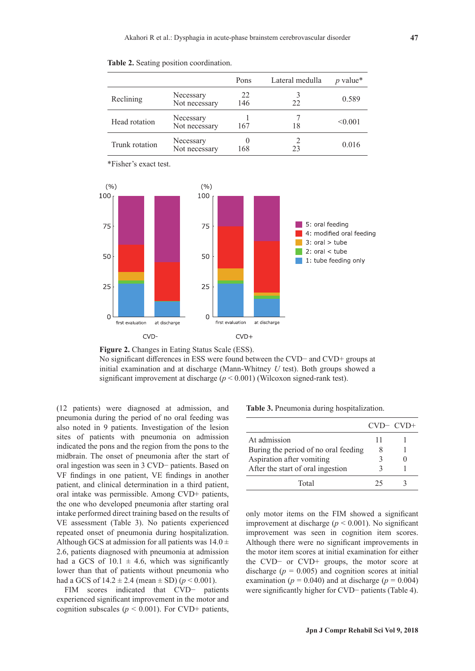|                |                            | Pons      | Lateral medulla | p value* |
|----------------|----------------------------|-----------|-----------------|----------|
| Reclining      | Necessary<br>Not necessary | 22<br>146 | 22              | 0.589    |
| Head rotation  | Necessary<br>Not necessary | 167       | 18              | < 0.001  |
| Trunk rotation | Necessary<br>Not necessary | 168       | 23              | 0.016    |

\*Fisher's exact test.





No significant differences in ESS were found between the CVD− and CVD+ groups at initial examination and at discharge (Mann-Whitney *U* test). Both groups showed a significant improvement at discharge  $(p < 0.001)$  (Wilcoxon signed-rank test).

(12 patients) were diagnosed at admission, and pneumonia during the period of no oral feeding was also noted in 9 patients. Investigation of the lesion sites of patients with pneumonia on admission indicated the pons and the region from the pons to the midbrain. The onset of pneumonia after the start of oral ingestion was seen in 3 CVD− patients. Based on VF findings in one patient, VE findings in another patient, and clinical determination in a third patient, oral intake was permissible. Among CVD+ patients, the one who developed pneumonia after starting oral intake performed direct training based on the results of VE assessment (Table 3). No patients experienced repeated onset of pneumonia during hospitalization. Although GCS at admission for all patients was  $14.0 \pm$ 2.6, patients diagnosed with pneumonia at admission had a GCS of  $10.1 \pm 4.6$ , which was significantly lower than that of patients without pneumonia who had a GCS of  $14.2 \pm 2.4$  (mean  $\pm$  SD) ( $p < 0.001$ ).

FIM scores indicated that CVD− patients experienced significant improvement in the motor and cognition subscales ( $p < 0.001$ ). For CVD+ patients,

**Table 3.** Pneumonia during hospitalization.

|                                      | $CVD CVD+$ |  |
|--------------------------------------|------------|--|
| At admission                         |            |  |
| Buring the period of no oral feeding |            |  |
| Aspiration after vomiting            |            |  |
| After the start of oral ingestion    |            |  |
| Total                                | つう         |  |

only motor items on the FIM showed a significant improvement at discharge ( $p < 0.001$ ). No significant improvement was seen in cognition item scores. Although there were no significant improvements in the motor item scores at initial examination for either the CVD− or CVD+ groups, the motor score at discharge  $(p = 0.005)$  and cognition scores at initial examination ( $p = 0.040$ ) and at discharge ( $p = 0.004$ ) were significantly higher for CVD− patients (Table 4).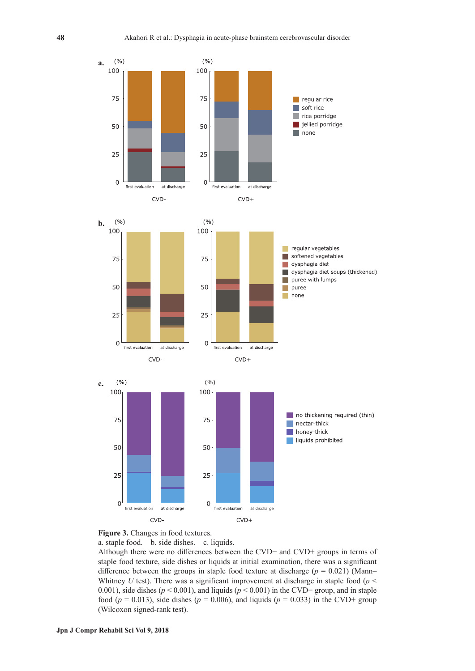



a. staple food. b. side dishes. c. liquids.

Although there were no differences between the CVD− and CVD+ groups in terms of staple food texture, side dishes or liquids at initial examination, there was a significant difference between the groups in staple food texture at discharge ( $p = 0.021$ ) (Mann– Whitney *U* test). There was a significant improvement at discharge in staple food ( $p <$ 0.001), side dishes (*p* < 0.001), and liquids (*p* < 0.001) in the CVD− group, and in staple food ( $p = 0.013$ ), side dishes ( $p = 0.006$ ), and liquids ( $p = 0.033$ ) in the CVD+ group (Wilcoxon signed-rank test).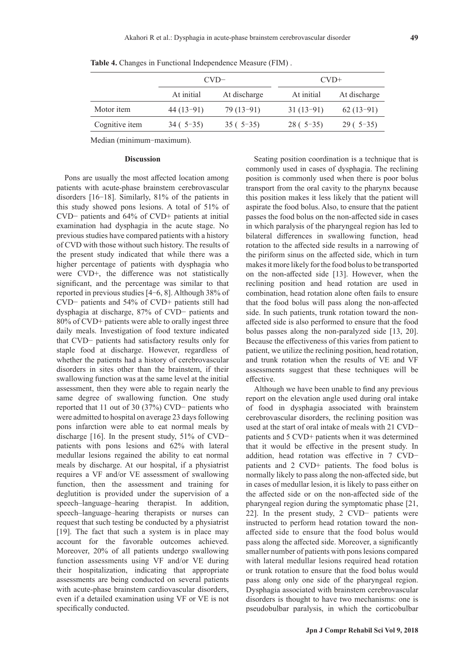|                   | $CVD-$      |              | $CVD+$      |              |  |
|-------------------|-------------|--------------|-------------|--------------|--|
|                   | At initial  | At discharge | At initial  | At discharge |  |
| Motor <i>item</i> | $44(13-91)$ | $79(13-91)$  | $31(13-91)$ | $62(13-91)$  |  |
| Cognitive item    | $34(5-35)$  | $35(5-35)$   | $28(.5-35)$ | $29(5-35)$   |  |
|                   |             |              |             |              |  |

**Table 4.** Changes in Functional Independence Measure (FIM) .

Median (minimum-maximum).

# **Discussion**

Pons are usually the most affected location among patients with acute-phase brainstem cerebrovascular disorders [16-18]. Similarly, 81% of the patients in this study showed pons lesions. A total of 51% of CVD− patients and 64% of CVD+ patients at initial examination had dysphagia in the acute stage. No previous studies have compared patients with a history of CVD with those without such history. The results of the present study indicated that while there was a higher percentage of patients with dysphagia who were CVD+, the difference was not statistically significant, and the percentage was similar to that reported in previous studies [4-6, 8]. Although 38% of CVD− patients and 54% of CVD+ patients still had dysphagia at discharge, 87% of CVD− patients and 80% of CVD+ patients were able to orally ingest three daily meals. Investigation of food texture indicated that CVD− patients had satisfactory results only for staple food at discharge. However, regardless of whether the patients had a history of cerebrovascular disorders in sites other than the brainstem, if their swallowing function was at the same level at the initial assessment, then they were able to regain nearly the same degree of swallowing function. One study reported that 11 out of 30 (37%) CVD− patients who were admitted to hospital on average 23 days following pons infarction were able to eat normal meals by discharge [16]. In the present study, 51% of CVD− patients with pons lesions and 62% with lateral medullar lesions regained the ability to eat normal meals by discharge. At our hospital, if a physiatrist requires a VF and/or VE assessment of swallowing function, then the assessment and training for deglutition is provided under the supervision of a speech–language–hearing therapist. In addition, speech–language–hearing therapists or nurses can request that such testing be conducted by a physiatrist [19]. The fact that such a system is in place may account for the favorable outcomes achieved. Moreover, 20% of all patients undergo swallowing function assessments using VF and/or VE during their hospitalization, indicating that appropriate assessments are being conducted on several patients with acute-phase brainstem cardiovascular disorders, even if a detailed examination using VF or VE is not specifically conducted.

Seating position coordination is a technique that is commonly used in cases of dysphagia. The reclining position is commonly used when there is poor bolus transport from the oral cavity to the pharynx because this position makes it less likely that the patient will aspirate the food bolus. Also, to ensure that the patient passes the food bolus on the non-affected side in cases in which paralysis of the pharyngeal region has led to bilateral differences in swallowing function, head rotation to the affected side results in a narrowing of the piriform sinus on the affected side, which in turn makes it more likely for the food bolus to be transported on the non-affected side [13]. However, when the reclining position and head rotation are used in combination, head rotation alone often fails to ensure that the food bolus will pass along the non-affected side. In such patients, trunk rotation toward the nonaffected side is also performed to ensure that the food bolus passes along the non-paralyzed side [13, 20]. Because the effectiveness of this varies from patient to patient, we utilize the reclining position, head rotation, and trunk rotation when the results of VE and VF assessments suggest that these techniques will be effective.

Although we have been unable to find any previous report on the elevation angle used during oral intake of food in dysphagia associated with brainstem cerebrovascular disorders, the reclining position was used at the start of oral intake of meals with 21 CVD− patients and 5 CVD+ patients when it was determined that it would be effective in the present study. In addition, head rotation was effective in 7 CVD− patients and 2 CVD+ patients. The food bolus is normally likely to pass along the non-affected side, but in cases of medullar lesion, it is likely to pass either on the affected side or on the non-affected side of the pharyngeal region during the symptomatic phase [21, 22]. In the present study, 2 CVD− patients were instructed to perform head rotation toward the nonaffected side to ensure that the food bolus would pass along the affected side. Moreover, a significantly smaller number of patients with pons lesions compared with lateral medullar lesions required head rotation or trunk rotation to ensure that the food bolus would pass along only one side of the pharyngeal region. Dysphagia associated with brainstem cerebrovascular disorders is thought to have two mechanisms: one is pseudobulbar paralysis, in which the corticobulbar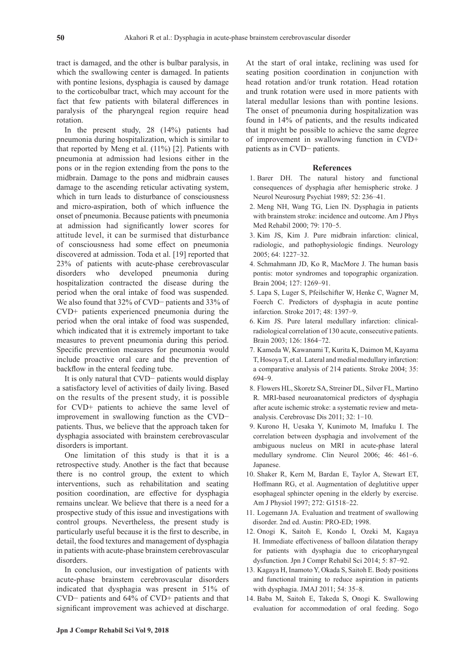tract is damaged, and the other is bulbar paralysis, in which the swallowing center is damaged. In patients with pontine lesions, dysphagia is caused by damage to the corticobulbar tract, which may account for the fact that few patients with bilateral differences in paralysis of the pharyngeal region require head rotation.

In the present study, 28 (14%) patients had pneumonia during hospitalization, which is similar to that reported by Meng et al. (11%) [2]. Patients with pneumonia at admission had lesions either in the pons or in the region extending from the pons to the midbrain. Damage to the pons and midbrain causes damage to the ascending reticular activating system, which in turn leads to disturbance of consciousness and micro-aspiration, both of which influence the onset of pneumonia. Because patients with pneumonia at admission had significantly lower scores for attitude level, it can be surmised that disturbance of consciousness had some effect on pneumonia discovered at admission. Toda et al. [19] reported that 23% of patients with acute-phase cerebrovascular disorders who developed pneumonia during hospitalization contracted the disease during the period when the oral intake of food was suspended. We also found that 32% of CVD− patients and 33% of CVD+ patients experienced pneumonia during the period when the oral intake of food was suspended, which indicated that it is extremely important to take measures to prevent pneumonia during this period. Specific prevention measures for pneumonia would include proactive oral care and the prevention of backflow in the enteral feeding tube.

It is only natural that CVD− patients would display a satisfactory level of activities of daily living. Based on the results of the present study, it is possible for CVD+ patients to achieve the same level of improvement in swallowing function as the CVD− patients. Thus, we believe that the approach taken for dysphagia associated with brainstem cerebrovascular disorders is important.

One limitation of this study is that it is a retrospective study. Another is the fact that because there is no control group, the extent to which interventions, such as rehabilitation and seating position coordination, are effective for dysphagia remains unclear. We believe that there is a need for a prospective study of this issue and investigations with control groups. Nevertheless, the present study is particularly useful because it is the first to describe, in detail, the food textures and management of dysphagia in patients with acute-phase brainstem cerebrovascular disorders.

In conclusion, our investigation of patients with acute-phase brainstem cerebrovascular disorders indicated that dysphagia was present in 51% of CVD− patients and 64% of CVD+ patients and that significant improvement was achieved at discharge. At the start of oral intake, reclining was used for seating position coordination in conjunction with head rotation and/or trunk rotation. Head rotation and trunk rotation were used in more patients with lateral medullar lesions than with pontine lesions. The onset of pneumonia during hospitalization was found in 14% of patients, and the results indicated that it might be possible to achieve the same degree of improvement in swallowing function in CVD+ patients as in CVD− patients.

# **References**

- 1. Barer DH. The natural history and functional consequences of dysphagia after hemispheric stroke. J Neurol Neurosurg Psychiat 1989; 52: 236-41.
- 2. Meng NH, Wang TG, Lien IN. Dysphagia in patients with brainstem stroke: incidence and outcome. Am J Phys Med Rehabil 2000; 79: 170-5.
- 3. Kim JS, Kim J. Pure midbrain infarction: clinical, radiologic, and pathophysiologic findings. Neurology 2005; 64: 1227-32.
- 4. Schmahmann JD, Ko R, MacMore J. The human basis pontis: motor syndromes and topographic organization. Brain 2004; 127: 1269-91.
- 5. Lapa S, Luger S, Pfeilschifter W, Henke C, Wagner M, Foerch C. Predictors of dysphagia in acute pontine infarction. Stroke 2017; 48: 1397-9.
- 6. Kim JS. Pure lateral medullary infarction: clinicalradiological correlation of 130 acute, consecutive patients. Brain 2003; 126: 1864-72.
- 7. Kameda W, Kawanami T, Kurita K, Daimon M, Kayama T, Hosoya T, et al. Lateral and medial medullary infarction: a comparative analysis of 214 patients. Stroke 2004; 35: 694-9.
- 8. Flowers HL, Skoretz SA, Streiner DL, Silver FL, Martino R. MRI-based neuroanatomical predictors of dysphagia after acute ischemic stroke: a systematic review and metaanalysis. Cerebrovasc Dis 2011; 32: 1-10.
- 9. Kurono H, Uesaka Y, Kunimoto M, Imafuku I. The correlation between dysphagia and involvement of the ambiguous nucleus on MRI in acute-phase lateral medullary syndrome. Clin Neurol 2006; 46: 461-6. Japanese.
- 10. Shaker R, Kern M, Bardan E, Taylor A, Stewart ET, Hoffmann RG, et al. Augmentation of deglutitive upper esophageal sphincter opening in the elderly by exercise. Am J Physiol 1997; 272: G1518-22.
- 11. Logemann JA. Evaluation and treatment of swallowing disorder. 2nd ed. Austin: PRO-ED; 1998.
- 12. Onogi K, Saitoh E, Kondo I, Ozeki M, Kagaya H. Immediate effectiveness of balloon dilatation therapy for patients with dysphagia due to cricopharyngeal dysfunction. Jpn J Compr Rehabil Sci 2014; 5: 87-92.
- 13. Kagaya H, Inamoto Y, Okada S, Saitoh E. Body positions and functional training to reduce aspiration in patients with dysphagia. JMAJ 2011; 54: 35-8.
- 14. Baba M, Saitoh E, Takeda S, Onogi K. Swallowing evaluation for accommodation of oral feeding. Sogo